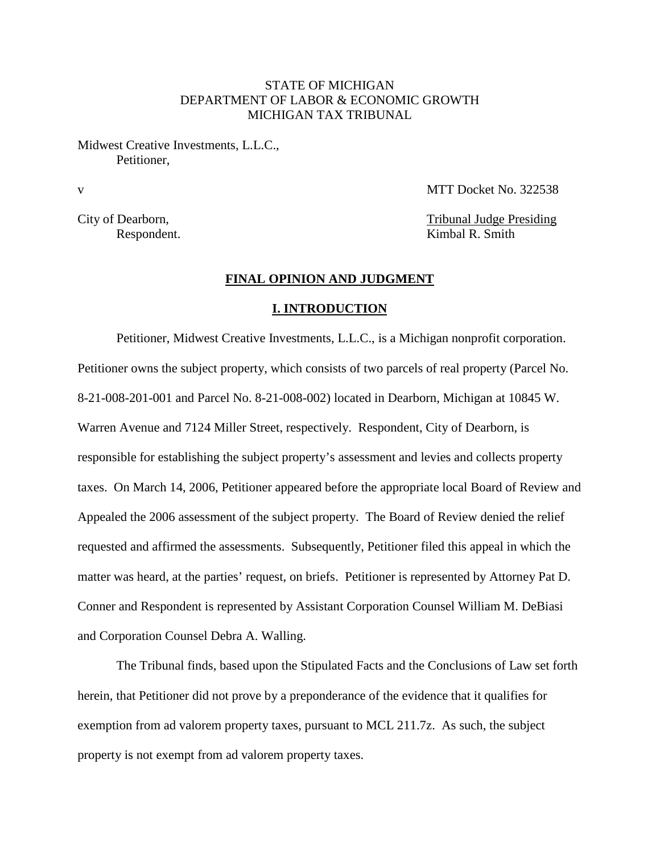## STATE OF MICHIGAN DEPARTMENT OF LABOR & ECONOMIC GROWTH MICHIGAN TAX TRIBUNAL

Midwest Creative Investments, L.L.C., Petitioner,

v MTT Docket No. 322538

City of Dearborn, Tribunal Judge Presiding Respondent. Kimbal R. Smith

## **FINAL OPINION AND JUDGMENT**

## **I. INTRODUCTION**

Petitioner, Midwest Creative Investments, L.L.C., is a Michigan nonprofit corporation. Petitioner owns the subject property, which consists of two parcels of real property (Parcel No. 8-21-008-201-001 and Parcel No. 8-21-008-002) located in Dearborn, Michigan at 10845 W. Warren Avenue and 7124 Miller Street, respectively. Respondent, City of Dearborn, is responsible for establishing the subject property's assessment and levies and collects property taxes. On March 14, 2006, Petitioner appeared before the appropriate local Board of Review and Appealed the 2006 assessment of the subject property. The Board of Review denied the relief requested and affirmed the assessments. Subsequently, Petitioner filed this appeal in which the matter was heard, at the parties' request, on briefs. Petitioner is represented by Attorney Pat D. Conner and Respondent is represented by Assistant Corporation Counsel William M. DeBiasi and Corporation Counsel Debra A. Walling.

The Tribunal finds, based upon the Stipulated Facts and the Conclusions of Law set forth herein, that Petitioner did not prove by a preponderance of the evidence that it qualifies for exemption from ad valorem property taxes, pursuant to MCL 211.7z. As such, the subject property is not exempt from ad valorem property taxes.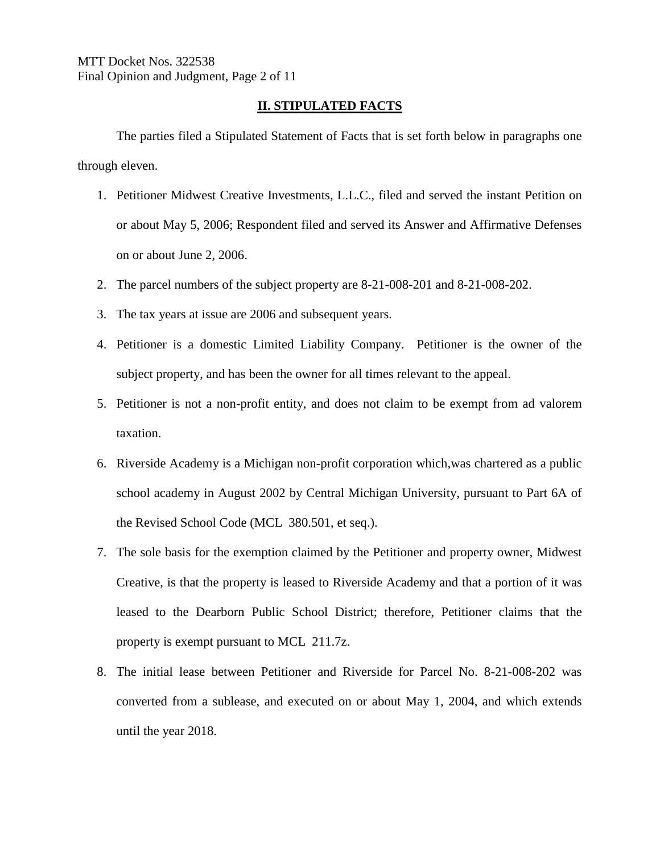# **II. STIPULATED FACTS**

The parties filed a Stipulated Statement of Facts that is set forth below in paragraphs one through eleven.

- 1. Petitioner Midwest Creative Investments, L.L.C., filed and served the instant Petition on or about May 5, 2006; Respondent filed and served its Answer and Affirmative Defenses on or about June 2, 2006.
- 2. The parcel numbers of the subject property are 8-21-008-201 and 8-21-008-202.
- 3. The tax years at issue are 2006 and subsequent years.
- 4. Petitioner is a domestic Limited Liability Company. Petitioner is the owner of the subject property, and has been the owner for all times relevant to the appeal.
- 5. Petitioner is not a non-profit entity, and does not claim to be exempt from ad valorem taxation.
- 6. Riverside Academy is a Michigan non-profit corporation which,was chartered as a public school academy in August 2002 by Central Michigan University, pursuant to Part 6A of the Revised School Code (MCL 380.501, et seq.).
- 7. The sole basis for the exemption claimed by the Petitioner and property owner, Midwest Creative, is that the property is leased to Riverside Academy and that a portion of it was leased to the Dearborn Public School District; therefore, Petitioner claims that the property is exempt pursuant to MCL 211.7z.
- 8. The initial lease between Petitioner and Riverside for Parcel No. 8-21-008-202 was converted from a sublease, and executed on or about May 1, 2004, and which extends until the year 2018.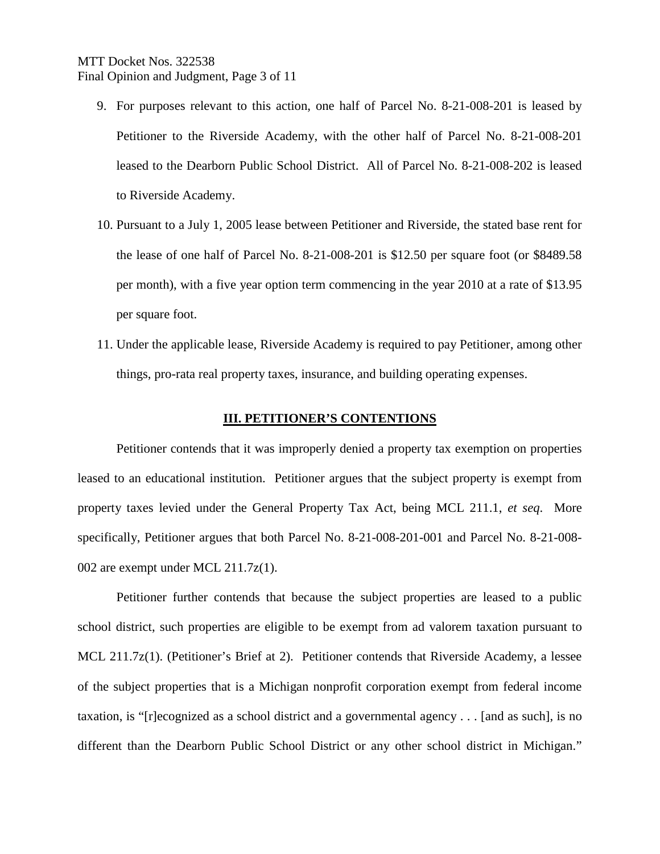# MTT Docket Nos. 322538 Final Opinion and Judgment, Page 3 of 11

- 9. For purposes relevant to this action, one half of Parcel No. 8-21-008-201 is leased by Petitioner to the Riverside Academy, with the other half of Parcel No. 8-21-008-201 leased to the Dearborn Public School District. All of Parcel No. 8-21-008-202 is leased to Riverside Academy.
- 10. Pursuant to a July 1, 2005 lease between Petitioner and Riverside, the stated base rent for the lease of one half of Parcel No. 8-21-008-201 is \$12.50 per square foot (or \$8489.58 per month), with a five year option term commencing in the year 2010 at a rate of \$13.95 per square foot.
- 11. Under the applicable lease, Riverside Academy is required to pay Petitioner, among other things, pro-rata real property taxes, insurance, and building operating expenses.

## **III. PETITIONER'S CONTENTIONS**

Petitioner contends that it was improperly denied a property tax exemption on properties leased to an educational institution. Petitioner argues that the subject property is exempt from property taxes levied under the General Property Tax Act, being MCL 211.1, *et seq*. More specifically, Petitioner argues that both Parcel No. 8-21-008-201-001 and Parcel No. 8-21-008- 002 are exempt under MCL 211.7z(1).

Petitioner further contends that because the subject properties are leased to a public school district, such properties are eligible to be exempt from ad valorem taxation pursuant to MCL 211.7z(1). (Petitioner's Brief at 2). Petitioner contends that Riverside Academy, a lessee of the subject properties that is a Michigan nonprofit corporation exempt from federal income taxation, is "[r]ecognized as a school district and a governmental agency . . . [and as such], is no different than the Dearborn Public School District or any other school district in Michigan."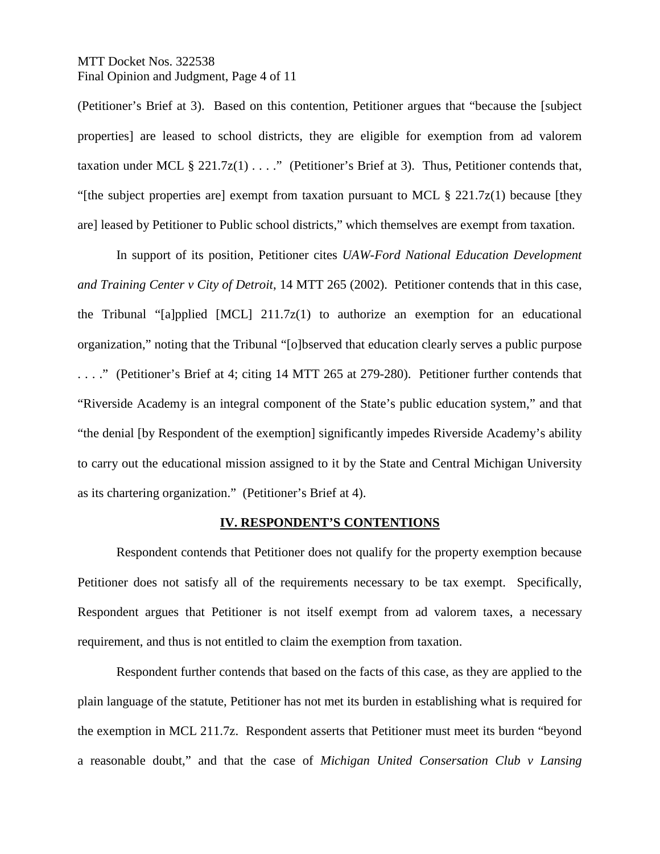MTT Docket Nos. 322538 Final Opinion and Judgment, Page 4 of 11

(Petitioner's Brief at 3). Based on this contention, Petitioner argues that "because the [subject properties] are leased to school districts, they are eligible for exemption from ad valorem taxation under MCL § 221.7 $z(1)$ ...." (Petitioner's Brief at 3). Thus, Petitioner contends that, "[the subject properties are] exempt from taxation pursuant to MCL  $\S$  221.7 $z(1)$  because [they] are] leased by Petitioner to Public school districts," which themselves are exempt from taxation.

In support of its position, Petitioner cites *UAW-Ford National Education Development and Training Center v City of Detroit*, 14 MTT 265 (2002). Petitioner contends that in this case, the Tribunal "[a]pplied [MCL] 211.7z(1) to authorize an exemption for an educational organization," noting that the Tribunal "[o]bserved that education clearly serves a public purpose . . . ." (Petitioner's Brief at 4; citing 14 MTT 265 at 279-280). Petitioner further contends that "Riverside Academy is an integral component of the State's public education system," and that "the denial [by Respondent of the exemption] significantly impedes Riverside Academy's ability to carry out the educational mission assigned to it by the State and Central Michigan University as its chartering organization." (Petitioner's Brief at 4).

# **IV. RESPONDENT'S CONTENTIONS**

Respondent contends that Petitioner does not qualify for the property exemption because Petitioner does not satisfy all of the requirements necessary to be tax exempt. Specifically, Respondent argues that Petitioner is not itself exempt from ad valorem taxes, a necessary requirement, and thus is not entitled to claim the exemption from taxation.

Respondent further contends that based on the facts of this case, as they are applied to the plain language of the statute, Petitioner has not met its burden in establishing what is required for the exemption in MCL 211.7z. Respondent asserts that Petitioner must meet its burden "beyond a reasonable doubt," and that the case of *Michigan United Consersation Club v Lansing*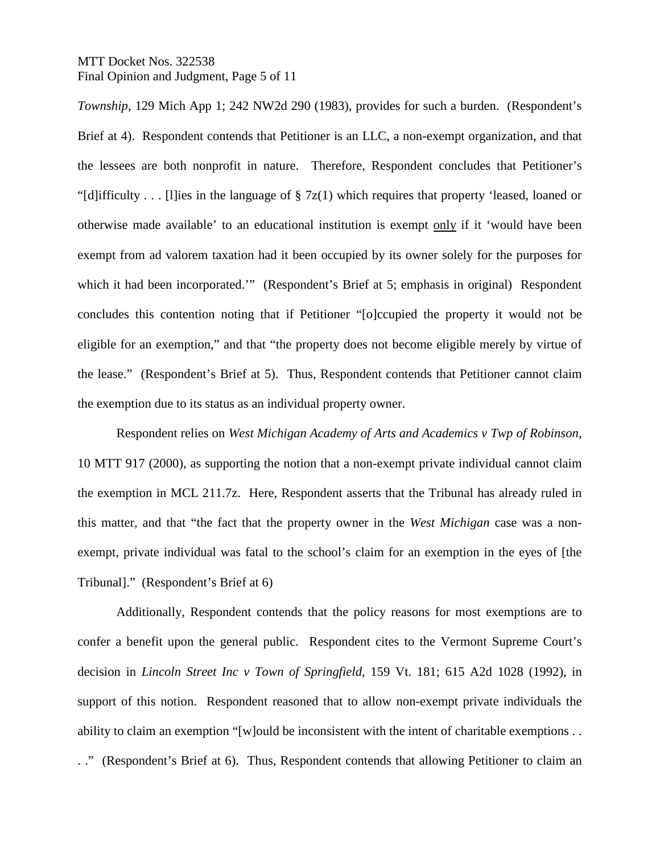# MTT Docket Nos. 322538 Final Opinion and Judgment, Page 5 of 11

*Township*, 129 Mich App 1; 242 NW2d 290 (1983), provides for such a burden. (Respondent's Brief at 4). Respondent contends that Petitioner is an LLC, a non-exempt organization, and that the lessees are both nonprofit in nature. Therefore, Respondent concludes that Petitioner's "[d]ifficulty . . . [l]ies in the language of § 7z(1) which requires that property 'leased, loaned or otherwise made available' to an educational institution is exempt only if it 'would have been exempt from ad valorem taxation had it been occupied by its owner solely for the purposes for which it had been incorporated.'" (Respondent's Brief at 5; emphasis in original) Respondent concludes this contention noting that if Petitioner "[o]ccupied the property it would not be eligible for an exemption," and that "the property does not become eligible merely by virtue of the lease." (Respondent's Brief at 5). Thus, Respondent contends that Petitioner cannot claim the exemption due to its status as an individual property owner.

Respondent relies on *West Michigan Academy of Arts and Academics v Twp of Robinson*, 10 MTT 917 (2000), as supporting the notion that a non-exempt private individual cannot claim the exemption in MCL 211.7z. Here, Respondent asserts that the Tribunal has already ruled in this matter, and that "the fact that the property owner in the *West Michigan* case was a nonexempt, private individual was fatal to the school's claim for an exemption in the eyes of [the Tribunal]." (Respondent's Brief at 6)

Additionally, Respondent contends that the policy reasons for most exemptions are to confer a benefit upon the general public. Respondent cites to the Vermont Supreme Court's decision in *Lincoln Street Inc v Town of Springfield*, 159 Vt. 181; 615 A2d 1028 (1992), in support of this notion. Respondent reasoned that to allow non-exempt private individuals the ability to claim an exemption "[w]ould be inconsistent with the intent of charitable exemptions . . . ." (Respondent's Brief at 6). Thus, Respondent contends that allowing Petitioner to claim an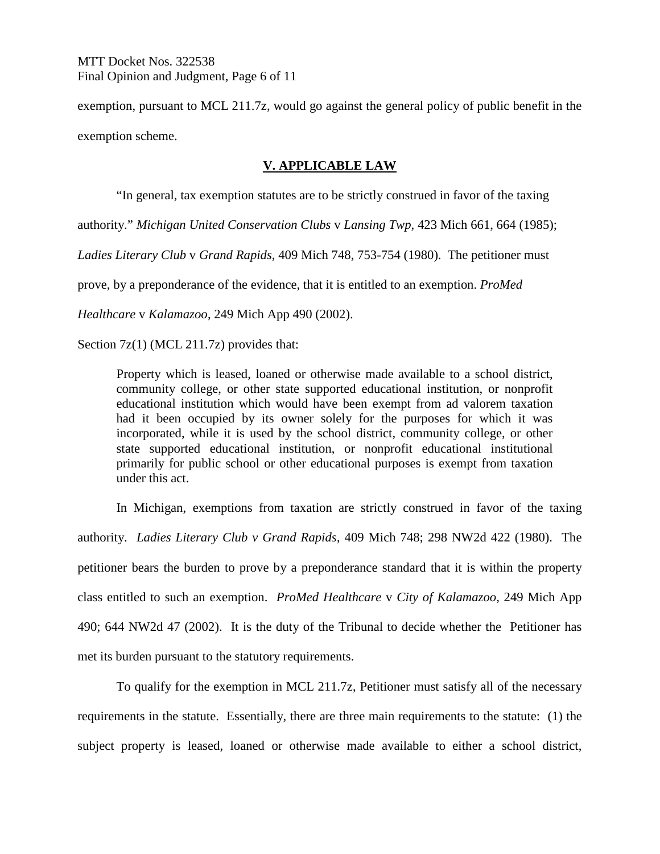exemption, pursuant to MCL 211.7z, would go against the general policy of public benefit in the exemption scheme.

# **V. APPLICABLE LAW**

"In general, tax exemption statutes are to be strictly construed in favor of the taxing

authority." *Michigan United Conservation Clubs* v *Lansing Twp*, 423 Mich 661, 664 (1985);

*Ladies Literary Club* v *Grand Rapids*, 409 Mich 748, 753-754 (1980). The petitioner must

prove, by a preponderance of the evidence, that it is entitled to an exemption. *ProMed* 

*Healthcare* v *Kalamazoo*, 249 Mich App 490 (2002).

Section 7z(1) (MCL 211.7z) provides that:

Property which is leased, loaned or otherwise made available to a school district, community college, or other state supported educational institution, or nonprofit educational institution which would have been exempt from ad valorem taxation had it been occupied by its owner solely for the purposes for which it was incorporated, while it is used by the school district, community college, or other state supported educational institution, or nonprofit educational institutional primarily for public school or other educational purposes is exempt from taxation under this act.

In Michigan, exemptions from taxation are strictly construed in favor of the taxing authority. *Ladies Literary Club v Grand Rapids*, 409 Mich 748; 298 NW2d 422 (1980). The petitioner bears the burden to prove by a preponderance standard that it is within the property class entitled to such an exemption. *ProMed Healthcare* v *City of Kalamazoo*, 249 Mich App 490; 644 NW2d 47 (2002). It is the duty of the Tribunal to decide whether the Petitioner has met its burden pursuant to the statutory requirements.

To qualify for the exemption in MCL 211.7z, Petitioner must satisfy all of the necessary requirements in the statute. Essentially, there are three main requirements to the statute: (1) the subject property is leased, loaned or otherwise made available to either a school district,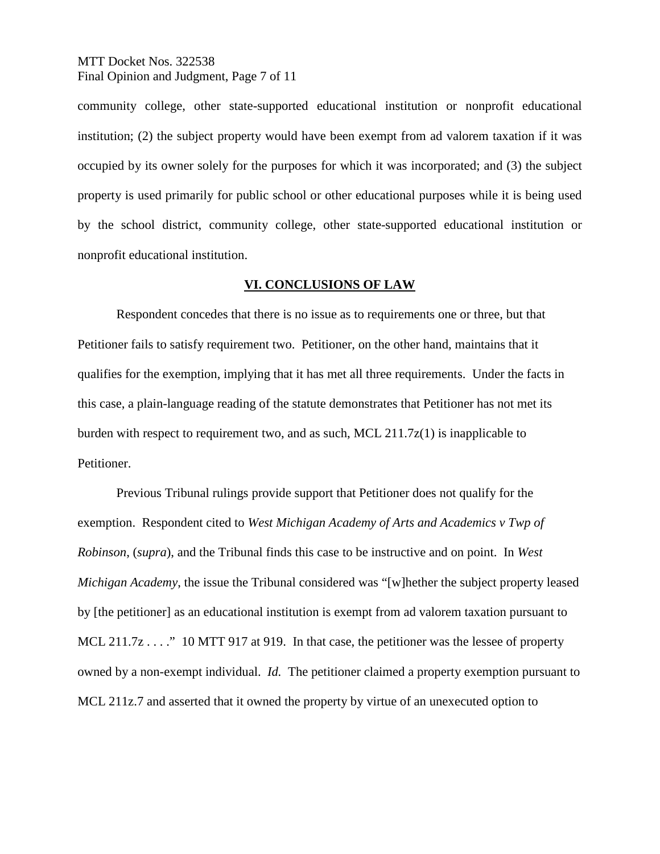MTT Docket Nos. 322538 Final Opinion and Judgment, Page 7 of 11

community college, other state-supported educational institution or nonprofit educational institution; (2) the subject property would have been exempt from ad valorem taxation if it was occupied by its owner solely for the purposes for which it was incorporated; and (3) the subject property is used primarily for public school or other educational purposes while it is being used by the school district, community college, other state-supported educational institution or nonprofit educational institution.

## **VI. CONCLUSIONS OF LAW**

Respondent concedes that there is no issue as to requirements one or three, but that Petitioner fails to satisfy requirement two. Petitioner, on the other hand, maintains that it qualifies for the exemption, implying that it has met all three requirements. Under the facts in this case, a plain-language reading of the statute demonstrates that Petitioner has not met its burden with respect to requirement two, and as such, MCL  $211.7z(1)$  is inapplicable to Petitioner.

Previous Tribunal rulings provide support that Petitioner does not qualify for the exemption. Respondent cited to *West Michigan Academy of Arts and Academics v Twp of Robinson*, (*supra*), and the Tribunal finds this case to be instructive and on point. In *West Michigan Academy*, the issue the Tribunal considered was "[w]hether the subject property leased by [the petitioner] as an educational institution is exempt from ad valorem taxation pursuant to MCL 211.7z . . . . " 10 MTT 917 at 919. In that case, the petitioner was the lessee of property owned by a non-exempt individual. *Id.* The petitioner claimed a property exemption pursuant to MCL 211z.7 and asserted that it owned the property by virtue of an unexecuted option to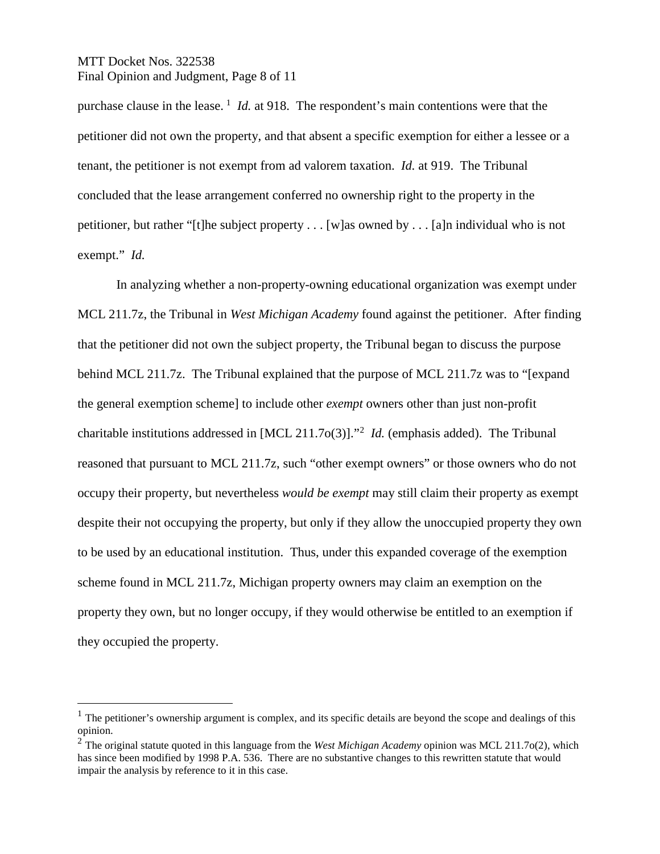# MTT Docket Nos. 322538 Final Opinion and Judgment, Page 8 of 11

purchase clause in the lease.<sup>[1](#page-7-0)</sup> *Id.* at 918. The respondent's main contentions were that the petitioner did not own the property, and that absent a specific exemption for either a lessee or a tenant, the petitioner is not exempt from ad valorem taxation. *Id.* at 919. The Tribunal concluded that the lease arrangement conferred no ownership right to the property in the petitioner, but rather "[t]he subject property . . . [w]as owned by . . . [a]n individual who is not exempt." *Id.*

In analyzing whether a non-property-owning educational organization was exempt under MCL 211.7z, the Tribunal in *West Michigan Academy* found against the petitioner. After finding that the petitioner did not own the subject property, the Tribunal began to discuss the purpose behind MCL 211.7z. The Tribunal explained that the purpose of MCL 211.7z was to "[expand the general exemption scheme] to include other *exempt* owners other than just non-profit charitable institutions addressed in  $[MCL 211.70(3)]$  $[MCL 211.70(3)]$  $[MCL 211.70(3)]$ .<sup>22</sup> *Id.* (emphasis added). The Tribunal reasoned that pursuant to MCL 211.7z, such "other exempt owners" or those owners who do not occupy their property, but nevertheless *would be exempt* may still claim their property as exempt despite their not occupying the property, but only if they allow the unoccupied property they own to be used by an educational institution. Thus, under this expanded coverage of the exemption scheme found in MCL 211.7z, Michigan property owners may claim an exemption on the property they own, but no longer occupy, if they would otherwise be entitled to an exemption if they occupied the property.

<span id="page-7-0"></span><sup>&</sup>lt;sup>1</sup> The petitioner's ownership argument is complex, and its specific details are beyond the scope and dealings of this opinion.

<span id="page-7-1"></span><sup>2</sup> The original statute quoted in this language from the *West Michigan Academy* opinion was MCL 211.7o(2), which has since been modified by 1998 P.A. 536. There are no substantive changes to this rewritten statute that would impair the analysis by reference to it in this case.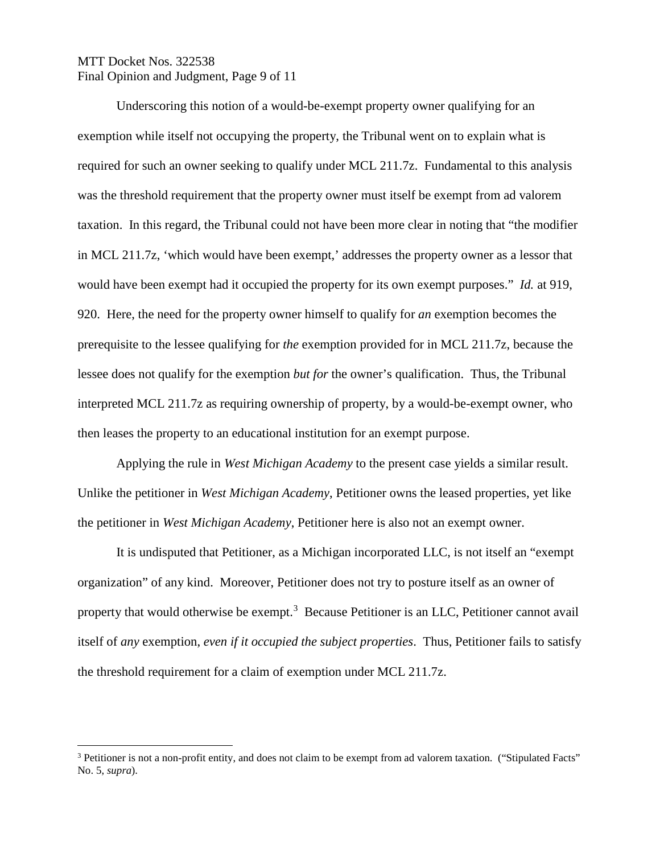# MTT Docket Nos. 322538 Final Opinion and Judgment, Page 9 of 11

Underscoring this notion of a would-be-exempt property owner qualifying for an exemption while itself not occupying the property, the Tribunal went on to explain what is required for such an owner seeking to qualify under MCL 211.7z. Fundamental to this analysis was the threshold requirement that the property owner must itself be exempt from ad valorem taxation. In this regard, the Tribunal could not have been more clear in noting that "the modifier in MCL 211.7z, 'which would have been exempt,' addresses the property owner as a lessor that would have been exempt had it occupied the property for its own exempt purposes." *Id.* at 919, 920. Here, the need for the property owner himself to qualify for *an* exemption becomes the prerequisite to the lessee qualifying for *the* exemption provided for in MCL 211.7z, because the lessee does not qualify for the exemption *but for* the owner's qualification. Thus, the Tribunal interpreted MCL 211.7z as requiring ownership of property, by a would-be-exempt owner, who then leases the property to an educational institution for an exempt purpose.

Applying the rule in *West Michigan Academy* to the present case yields a similar result. Unlike the petitioner in *West Michigan Academy*, Petitioner owns the leased properties, yet like the petitioner in *West Michigan Academy*, Petitioner here is also not an exempt owner.

It is undisputed that Petitioner, as a Michigan incorporated LLC, is not itself an "exempt organization" of any kind. Moreover, Petitioner does not try to posture itself as an owner of property that would otherwise be exempt.<sup>[3](#page-8-0)</sup> Because Petitioner is an LLC, Petitioner cannot avail itself of *any* exemption, *even if it occupied the subject properties*. Thus, Petitioner fails to satisfy the threshold requirement for a claim of exemption under MCL 211.7z.

<span id="page-8-0"></span><sup>&</sup>lt;sup>3</sup> Petitioner is not a non-profit entity, and does not claim to be exempt from ad valorem taxation. ("Stipulated Facts" No. 5, *supra*).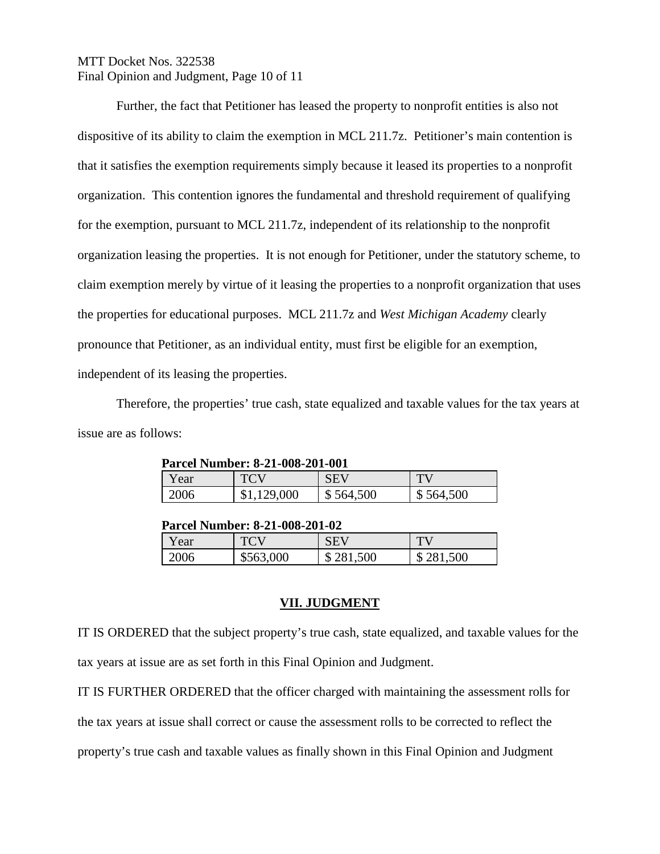# MTT Docket Nos. 322538 Final Opinion and Judgment, Page 10 of 11

Further, the fact that Petitioner has leased the property to nonprofit entities is also not dispositive of its ability to claim the exemption in MCL 211.7z. Petitioner's main contention is that it satisfies the exemption requirements simply because it leased its properties to a nonprofit organization. This contention ignores the fundamental and threshold requirement of qualifying for the exemption, pursuant to MCL 211.7z, independent of its relationship to the nonprofit organization leasing the properties. It is not enough for Petitioner, under the statutory scheme, to claim exemption merely by virtue of it leasing the properties to a nonprofit organization that uses the properties for educational purposes. MCL 211.7z and *West Michigan Academy* clearly pronounce that Petitioner, as an individual entity, must first be eligible for an exemption, independent of its leasing the properties.

Therefore, the properties' true cash, state equalized and taxable values for the tax years at issue are as follows:

| Parcel Number: 8-21-008-201-001 |         |           |           |  |  |
|---------------------------------|---------|-----------|-----------|--|--|
| Y ear                           |         | SEV       |           |  |  |
| 2006                            | 129,000 | \$564,500 | \$564,500 |  |  |

|  | Parcel Number: 8-21-008-201-001 |
|--|---------------------------------|
|--|---------------------------------|

#### **Parcel Number: 8-21-008-201-02**

| Y ear |        | SEV     | TЧ      |
|-------|--------|---------|---------|
| 2006  | 000    | 281,500 | 281,500 |
|       | \$563. | ึ       | J       |

#### **VII. JUDGMENT**

IT IS ORDERED that the subject property's true cash, state equalized, and taxable values for the tax years at issue are as set forth in this Final Opinion and Judgment.

IT IS FURTHER ORDERED that the officer charged with maintaining the assessment rolls for the tax years at issue shall correct or cause the assessment rolls to be corrected to reflect the property's true cash and taxable values as finally shown in this Final Opinion and Judgment